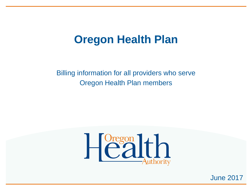#### **Oregon Health Plan**

Billing information for all providers who serve Oregon Health Plan members



June 2017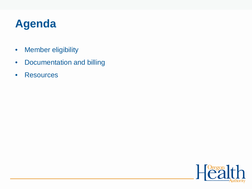### **Agenda**

- Member eligibility
- Documentation and billing
- Resources

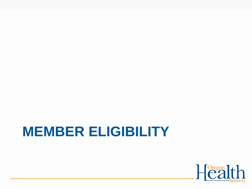# **MEMBER ELIGIBILITY**

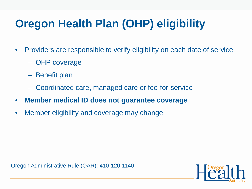# **Oregon Health Plan (OHP) eligibility**

- Providers are responsible to verify eligibility on each date of service
	- OHP coverage
	- Benefit plan
	- Coordinated care, managed care or fee-for-service
- **Member medical ID does not guarantee coverage**
- Member eligibility and coverage may change

Oregon Administrative Rule (OAR): 410-120-1140

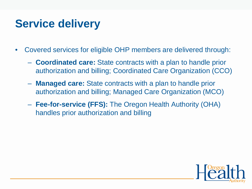### **Service delivery**

- Covered services for eligible OHP members are delivered through:
	- **Coordinated care:** State contracts with a plan to handle prior authorization and billing; Coordinated Care Organization (CCO)
	- **Managed care:** State contracts with a plan to handle prior authorization and billing; Managed Care Organization (MCO)
	- **Fee-for-service (FFS):** The Oregon Health Authority (OHA) handles prior authorization and billing

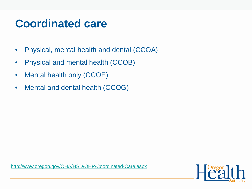#### **Coordinated care**

- Physical, mental health and dental (CCOA)
- Physical and mental health (CCOB)
- Mental health only (CCOE)
- Mental and dental health (CCOG)

<http://www.oregon.gov/OHA/HSD/OHP/Coordinated-Care.aspx>

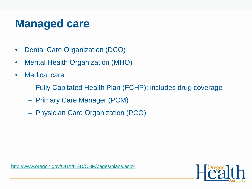#### **Managed care**

- Dental Care Organization (DCO)
- Mental Health Organization (MHO)
- Medical care
	- Fully Capitated Health Plan (FCHP); includes drug coverage
	- Primary Care Manager (PCM)
	- Physician Care Organization (PCO)

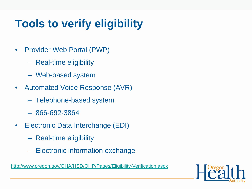# **Tools to verify eligibility**

- Provider Web Portal (PWP)
	- Real-time eligibility
	- Web-based system
- Automated Voice Response (AVR)
	- Telephone-based system
	- 866-692-3864
- Electronic Data Interchange (EDI)
	- Real-time eligibility
	- Electronic information exchange

<http://www.oregon.gov/OHA/HSD/OHP/Pages/Eligibility-Verification.aspx>

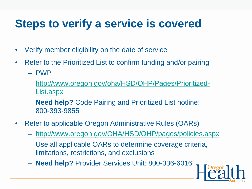### **Steps to verify a service is covered**

- Verify member eligibility on the date of service
- Refer to the Prioritized List to confirm funding and/or pairing
	- PWP
	- [http://www.oregon.gov/oha/HSD/OHP/Pages/Prioritized-](http://www.oregon.gov/oha/HSD/OHP/Pages/Prioritized-List.aspx)List.aspx
	- **Need help?** Code Pairing and Prioritized List hotline: 800-393-9855
- Refer to applicable Oregon Administrative Rules (OARs)
	- <http://www.oregon.gov/OHA/HSD/OHP/pages/policies.aspx>
	- Use all applicable OARs to determine coverage criteria, limitations, restrictions, and exclusions
	- **Need help?** Provider Services Unit: 800-336-6016

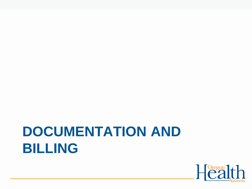# **DOCUMENTATION AND BILLING**

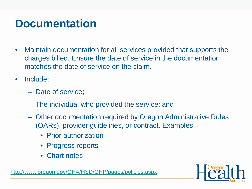### **Documentation**

- Maintain documentation for all services provided that supports the charges billed. Ensure the date of service in the documentation matches the date of service on the claim.
- Include:
	- Date of service;
	- The individual who provided the service; and
	- Other documentation required by Oregon Administrative Rules (OARs), provider guidelines, or contract. Examples:
		- Prior authorization
		- Progress reports
		- Chart notes



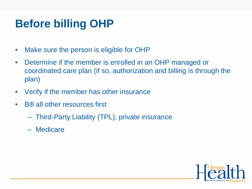## **Before billing OHP**

- Make sure the person is eligible for OHP
- Determine if the member is enrolled in an OHP managed or coordinated care plan (if so, authorization and billing is through the plan)
- Verify if the member has other insurance
- Bill all other resources first
	- Third-Party Liability (TPL); private insurance
	- Medicare

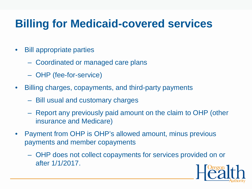## **Billing for Medicaid-covered services**

- Bill appropriate parties
	- Coordinated or managed care plans
	- OHP (fee-for-service)
- Billing charges, copayments, and third-party payments
	- Bill usual and customary charges
	- Report any previously paid amount on the claim to OHP (other insurance and Medicare)
- Payment from OHP is OHP's allowed amount, minus previous payments and member copayments
	- OHP does not collect copayments for services provided on or after 1/1/2017.

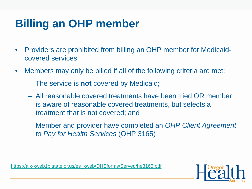# **Billing an OHP member**

- Providers are prohibited from billing an OHP member for Medicaidcovered services
- Members may only be billed if all of the following criteria are met:
	- The service is **not** covered by Medicaid;
	- All reasonable covered treatments have been tried OR member is aware of reasonable covered treatments, but selects a treatment that is not covered; and
	- Member and provider have completed an *OHP Client Agreement to Pay for Health Services* (OHP 3165)

[https://aix-xweb1p.state.or.us/es\\_xweb/DHSforms/Served/he3165.pdf](https://aix-xweb1p.state.or.us/es_xweb/DHSforms/Served/he3165.pdf)

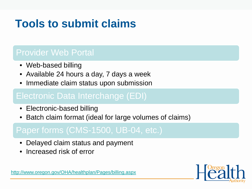# **Tools to submit claims**

#### Provider Web Portal

- Web-based billing
- Available 24 hours a day, 7 days a week
- Immediate claim status upon submission

#### Electronic Data Interchange (EDI)

- Electronic-based billing
- Batch claim format (ideal for large volumes of claims)

#### Paper forms (CMS-1500, UB-04, etc.)

- Delayed claim status and payment
- Increased risk of error



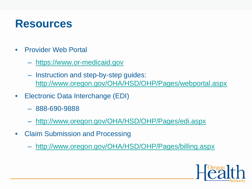#### **Resources**

- Provider Web Portal
	- [https://www.or-medicaid.gov](https://www.or-medicaid.gov/)
	- Instruction and step-by-step guides: [http://www.oregon.gov/OHA/HSD/OHP/Pages/webportal.aspx](http://www.oregon.gov/OHA/HSD/OHP/pages/webportal.aspx)
- Electronic Data Interchange (EDI)
	- 888-690-9888
	- <http://www.oregon.gov/OHA/HSD/OHP/Pages/edi.aspx>
- Claim Submission and Processing
	- <http://www.oregon.gov/OHA/HSD/OHP/Pages/billing.aspx>